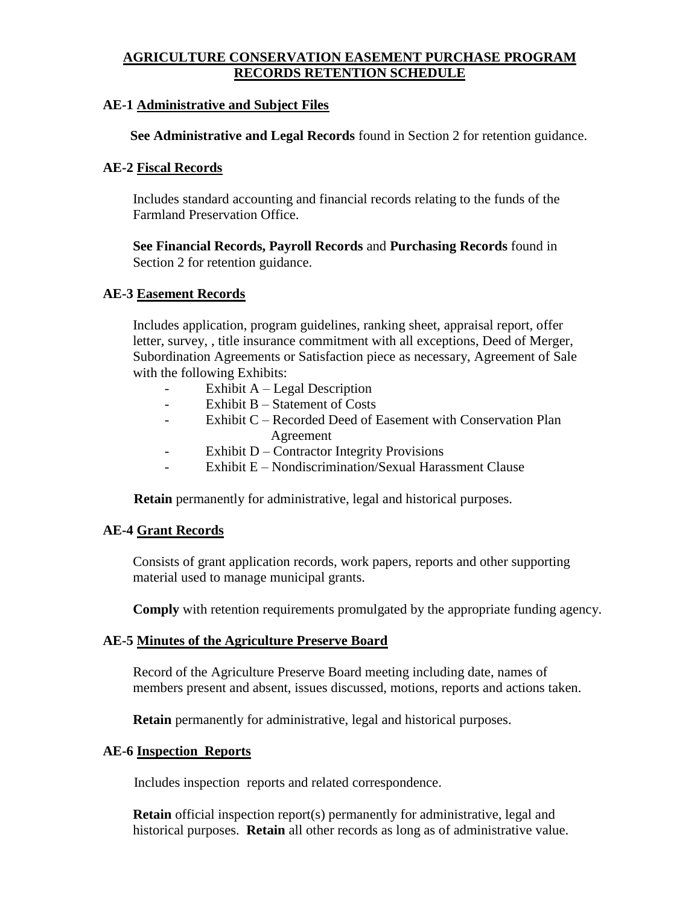# **AGRICULTURE CONSERVATION EASEMENT PURCHASE PROGRAM RECORDS RETENTION SCHEDULE**

#### **AE-1 Administrative and Subject Files**

 **See Administrative and Legal Records** found in Section 2 for retention guidance.

#### **AE-2 Fiscal Records**

Includes standard accounting and financial records relating to the funds of the Farmland Preservation Office.

**See Financial Records, Payroll Records** and **Purchasing Records** found in Section 2 for retention guidance.

#### **AE-3 Easement Records**

Includes application, program guidelines, ranking sheet, appraisal report, offer letter, survey, , title insurance commitment with all exceptions, Deed of Merger, Subordination Agreements or Satisfaction piece as necessary, Agreement of Sale with the following Exhibits:

- Exhibit A Legal Description
- Exhibit B Statement of Costs
- Exhibit C Recorded Deed of Easement with Conservation Plan Agreement
- Exhibit D Contractor Integrity Provisions
- Exhibit E Nondiscrimination/Sexual Harassment Clause

**Retain** permanently for administrative, legal and historical purposes.

### **AE-4 Grant Records**

Consists of grant application records, work papers, reports and other supporting material used to manage municipal grants.

**Comply** with retention requirements promulgated by the appropriate funding agency.

### **AE-5 Minutes of the Agriculture Preserve Board**

Record of the Agriculture Preserve Board meeting including date, names of members present and absent, issues discussed, motions, reports and actions taken.

**Retain** permanently for administrative, legal and historical purposes.

# **AE-6 Inspection Reports**

Includes inspection reports and related correspondence.

**Retain** official inspection report(s) permanently for administrative, legal and historical purposes. **Retain** all other records as long as of administrative value.